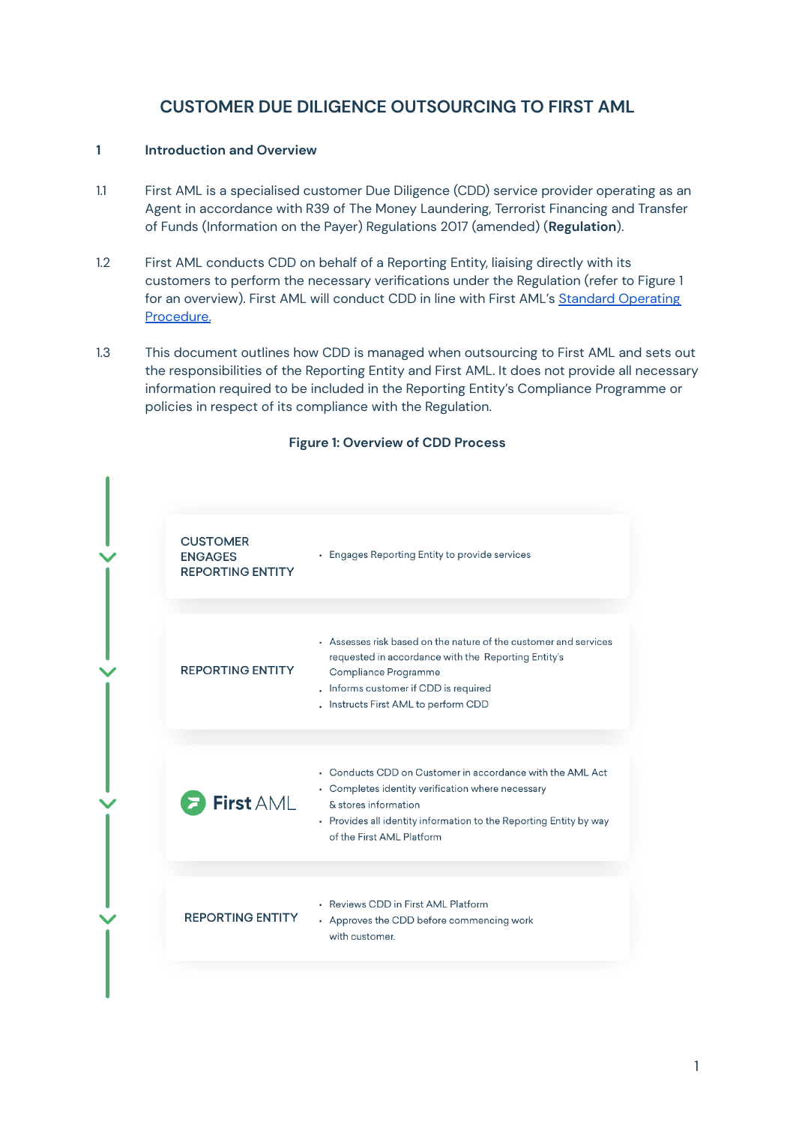# **CUSTOMER DUE DILIGENCE OUTSOURCING TO FIRST AML**

# **1 Introduction and Overview**

- 1.1 First AML is a specialised customer Due Diligence (CDD) service provider operating as an Agent in accordance with R39 of The Money Laundering, Terrorist Financing and Transfer of Funds (Information on the Payer) Regulations 2017 (amended) (**Regulation**).
- 1.2 First AML conducts CDD on behalf of a Reporting Entity, liaising directly with its customers to perform the necessary verifications under the Regulation (refer to Figure 1 for an overview). First AML will conduct CDD in line with First AML's Standard [Operating](https://www.firstaml.com/uk/wp-content/uploads/sites/5/2022/04/First-AML-Standard-Operating-Procedure-UK.pdf) [Procedure.](https://www.firstaml.com/uk/wp-content/uploads/sites/5/2022/04/First-AML-Standard-Operating-Procedure-UK.pdf)
- 1.3 This document outlines how CDD is managed when outsourcing to First AML and sets out the responsibilities of the Reporting Entity and First AML. It does not provide all necessary information required to be included in the Reporting Entity's Compliance Programme or policies in respect of its compliance with the Regulation.

| <b>CUSTOMER</b><br><b>ENGAGES</b><br><b>REPORTING ENTITY</b> | • Engages Reporting Entity to provide services                                                                                                                                                                                            |
|--------------------------------------------------------------|-------------------------------------------------------------------------------------------------------------------------------------------------------------------------------------------------------------------------------------------|
| <b>REPORTING ENTITY</b>                                      | • Assesses risk based on the nature of the customer and services<br>requested in accordance with the Reporting Entity's<br>Compliance Programme<br>. Informs customer if CDD is required<br>. Instructs First AML to perform CDD          |
|                                                              |                                                                                                                                                                                                                                           |
| First AML                                                    | • Conducts CDD on Customer in accordance with the AML Act<br>• Completes identity verification where necessary<br>& stores information<br>• Provides all identity information to the Reporting Entity by way<br>of the First AML Platform |
|                                                              |                                                                                                                                                                                                                                           |
| <b>REPORTING ENTITY</b>                                      | • Reviews CDD in First AML Platform<br>• Approves the CDD before commencing work<br>with customer.                                                                                                                                        |
|                                                              |                                                                                                                                                                                                                                           |

#### **Figure 1: Overview of CDD Process**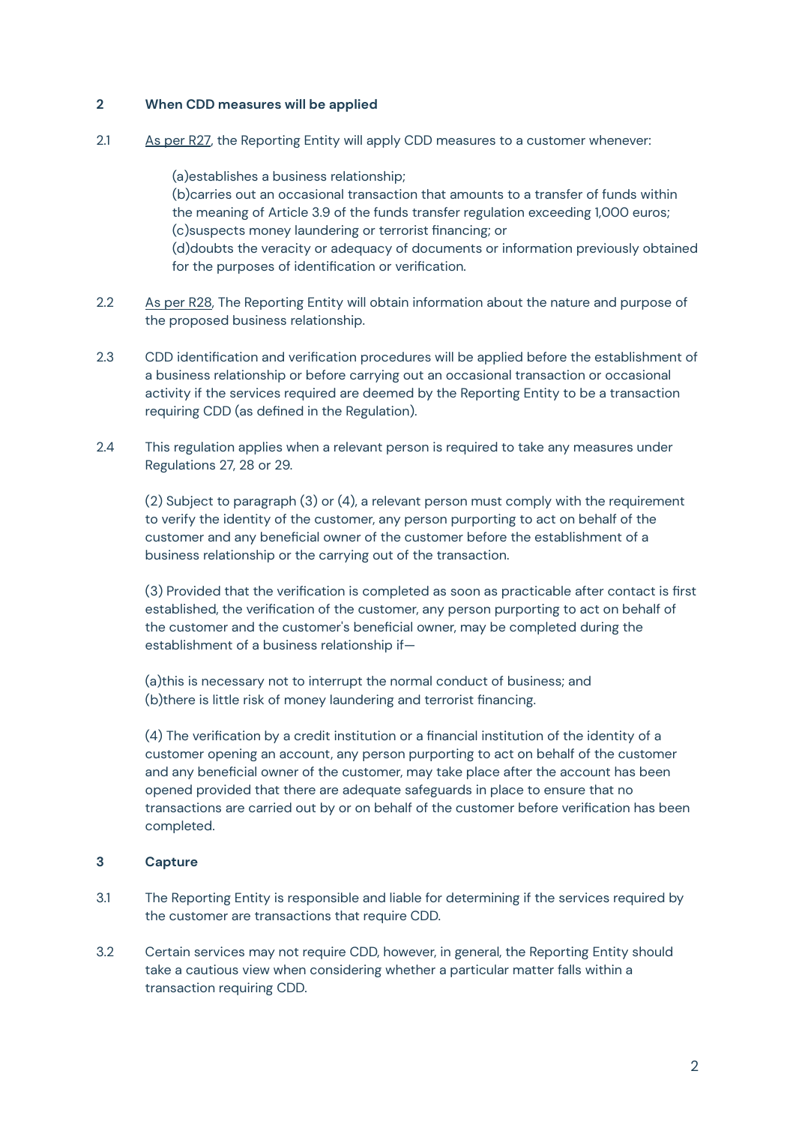# **2 When CDD measures will be applied**

2.1 As per [R27](https://www.legislation.gov.uk/uksi/2017/692/part/3/chapter/1#text%3DCustomer%20Due%20Diligence), the Reporting Entity will apply CDD measures to a customer whenever:

(a)establishes a business relationship; (b)carries out an occasional transaction that amounts to a transfer of funds within the meaning of Article 3.9 of the funds transfer regulation exceeding 1,000 euros; (c)suspects money laundering or terrorist financing; or (d)doubts the veracity or adequacy of documents or information previously obtained for the purposes of identification or verification.

- 2.2 As per [R28,](https://www.legislation.gov.uk/uksi/2017/692/regulation/28#text%253DCustomer%2520Due%2520Diligence) The Reporting Entity will obtain information about the nature and purpose of the proposed business relationship.
- 2.3 CDD identification and verification procedures will be applied before the establishment of a business relationship or before carrying out an occasional transaction or occasional activity if the services required are deemed by the Reporting Entity to be a transaction requiring CDD (as defined in the Regulation).
- 2.4 This regulation applies when a relevant person is required to take any measures under Regulations 27, 28 or 29.

(2) Subject to paragraph (3) or (4), a relevant person must comply with the requirement to verify the identity of the customer, any person purporting to act on behalf of the customer and any beneficial owner of the customer before the establishment of a business relationship or the carrying out of the transaction.

(3) Provided that the verification is completed as soon as practicable after contact is first established, the verification of the customer, any person purporting to act on behalf of the customer and the customer's beneficial owner, may be completed during the establishment of a business relationship if—

(a)this is necessary not to interrupt the normal conduct of business; and (b)there is little risk of money laundering and terrorist financing.

(4) The verification by a credit institution or a financial institution of the identity of a customer opening an account, any person purporting to act on behalf of the customer and any beneficial owner of the customer, may take place after the account has been opened provided that there are adequate safeguards in place to ensure that no transactions are carried out by or on behalf of the customer before verification has been completed.

# **3 Capture**

- 3.1 The Reporting Entity is responsible and liable for determining if the services required by the customer are transactions that require CDD.
- 3.2 Certain services may not require CDD, however, in general, the Reporting Entity should take a cautious view when considering whether a particular matter falls within a transaction requiring CDD.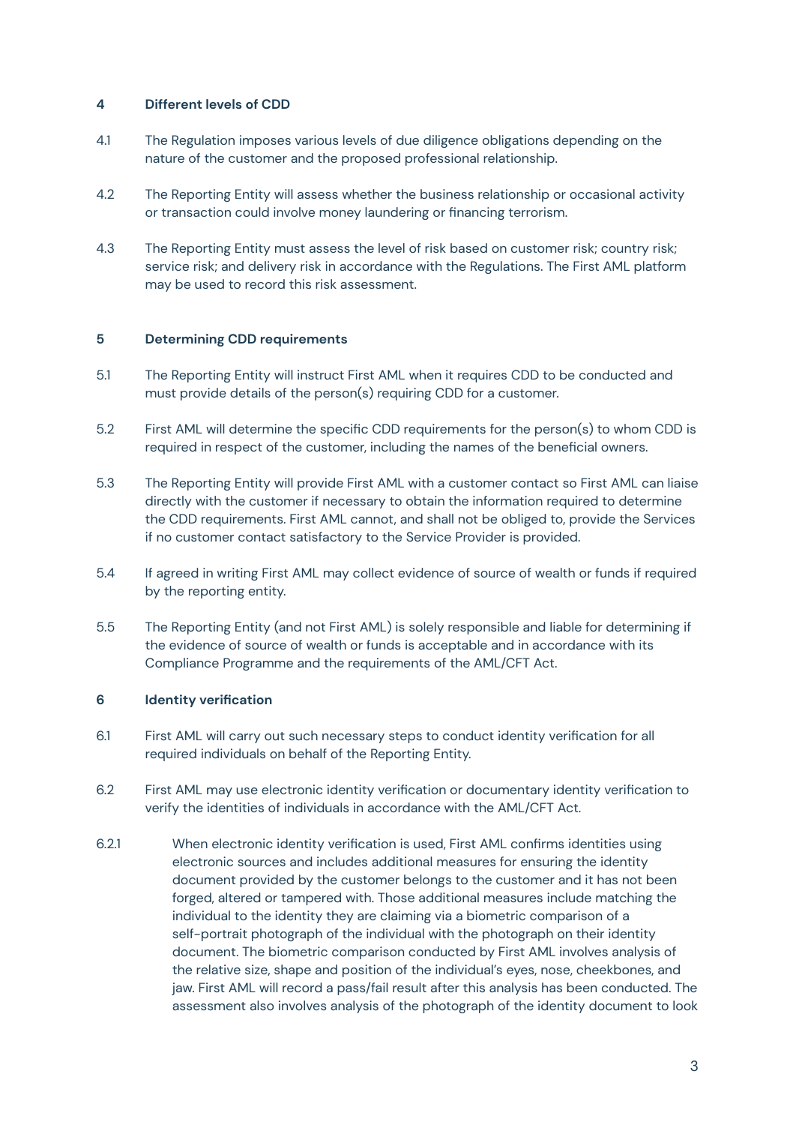# **4 Different levels of CDD**

- 4.1 The Regulation imposes various levels of due diligence obligations depending on the nature of the customer and the proposed professional relationship.
- 4.2 The Reporting Entity will assess whether the business relationship or occasional activity or transaction could involve money laundering or financing terrorism.
- 4.3 The Reporting Entity must assess the level of risk based on customer risk; country risk; service risk; and delivery risk in accordance with the Regulations. The First AML platform may be used to record this risk assessment.

# **5 Determining CDD requirements**

- 5.1 The Reporting Entity will instruct First AML when it requires CDD to be conducted and must provide details of the person(s) requiring CDD for a customer.
- 5.2 First AML will determine the specific CDD requirements for the person(s) to whom CDD is required in respect of the customer, including the names of the beneficial owners.
- 5.3 The Reporting Entity will provide First AML with a customer contact so First AML can liaise directly with the customer if necessary to obtain the information required to determine the CDD requirements. First AML cannot, and shall not be obliged to, provide the Services if no customer contact satisfactory to the Service Provider is provided.
- 5.4 If agreed in writing First AML may collect evidence of source of wealth or funds if required by the reporting entity.
- 5.5 The Reporting Entity (and not First AML) is solely responsible and liable for determining if the evidence of source of wealth or funds is acceptable and in accordance with its Compliance Programme and the requirements of the AML/CFT Act.

# **6 Identity verification**

- 6.1 First AML will carry out such necessary steps to conduct identity verification for all required individuals on behalf of the Reporting Entity.
- 6.2 First AML may use electronic identity verification or documentary identity verification to verify the identities of individuals in accordance with the AML/CFT Act.
- 6.2.1 When electronic identity verification is used, First AML confirms identities using electronic sources and includes additional measures for ensuring the identity document provided by the customer belongs to the customer and it has not been forged, altered or tampered with. Those additional measures include matching the individual to the identity they are claiming via a biometric comparison of a self-portrait photograph of the individual with the photograph on their identity document. The biometric comparison conducted by First AML involves analysis of the relative size, shape and position of the individual's eyes, nose, cheekbones, and jaw. First AML will record a pass/fail result after this analysis has been conducted. The assessment also involves analysis of the photograph of the identity document to look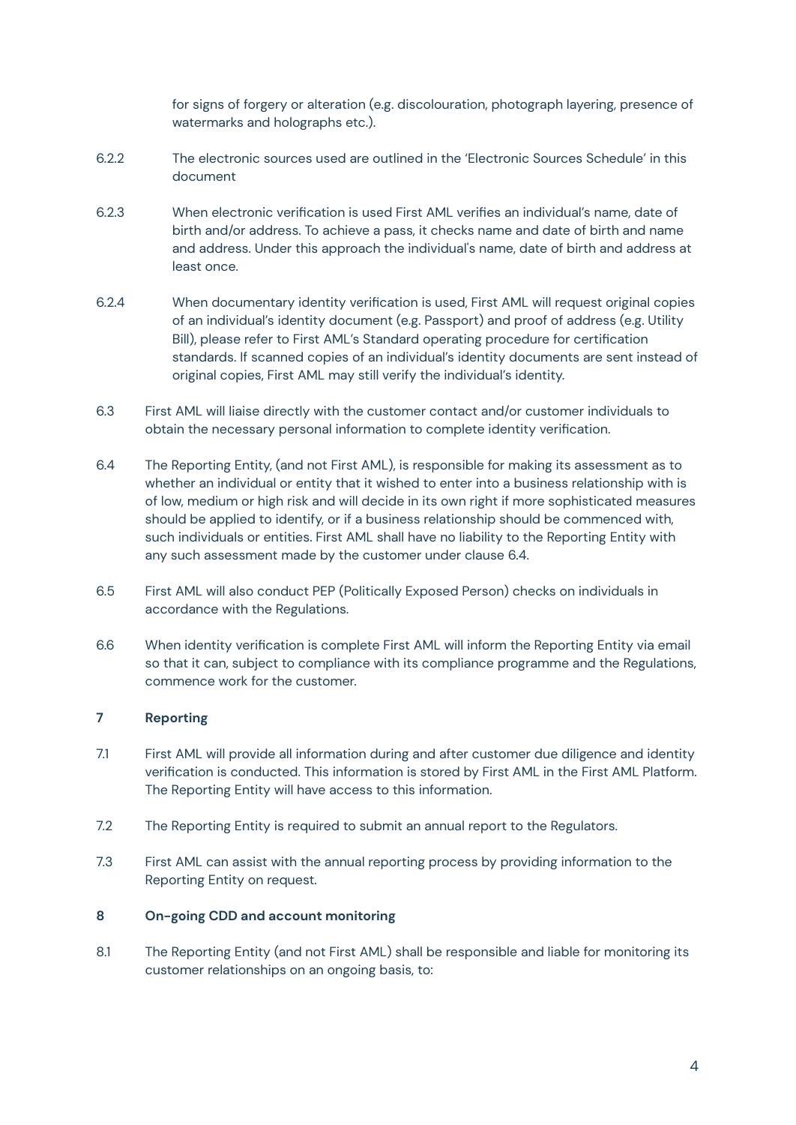for signs of forgery or alteration (e.g. discolouration, photograph layering, presence of watermarks and holographs etc.).

- 6.2.2 The electronic sources used are outlined in the 'Electronic Sources Schedule' in this document
- 6.2.3 When electronic verification is used First AML verifies an individual's name, date of birth and/or address. To achieve a pass, it checks name and date of birth and name and address. Under this approach the individual's name, date of birth and address at least once.
- 6.2.4 When documentary identity verification is used, First AML will request original copies of an individual's identity document (e.g. Passport) and proof of address (e.g. Utility Bill), please refer to First AML's Standard operating procedure for certification standards. If scanned copies of an individual's identity documents are sent instead of original copies, First AML may still verify the individual's identity.
- 6.3 First AML will liaise directly with the customer contact and/or customer individuals to obtain the necessary personal information to complete identity verification.
- 6.4 The Reporting Entity, (and not First AML), is responsible for making its assessment as to whether an individual or entity that it wished to enter into a business relationship with is of low, medium or high risk and will decide in its own right if more sophisticated measures should be applied to identify, or if a business relationship should be commenced with, such individuals or entities. First AML shall have no liability to the Reporting Entity with any such assessment made by the customer under clause 6.4.
- 6.5 First AML will also conduct PEP (Politically Exposed Person) checks on individuals in accordance with the Regulations.
- 6.6 When identity verification is complete First AML will inform the Reporting Entity via email so that it can, subject to compliance with its compliance programme and the Regulations, commence work for the customer.

# **7 Reporting**

- 7.1 First AML will provide all information during and after customer due diligence and identity verification is conducted. This information is stored by First AML in the First AML Platform. The Reporting Entity will have access to this information.
- 7.2 The Reporting Entity is required to submit an annual report to the Regulators.
- 7.3 First AML can assist with the annual reporting process by providing information to the Reporting Entity on request.

# **8 On-going CDD and account monitoring**

8.1 The Reporting Entity (and not First AML) shall be responsible and liable for monitoring its customer relationships on an ongoing basis, to: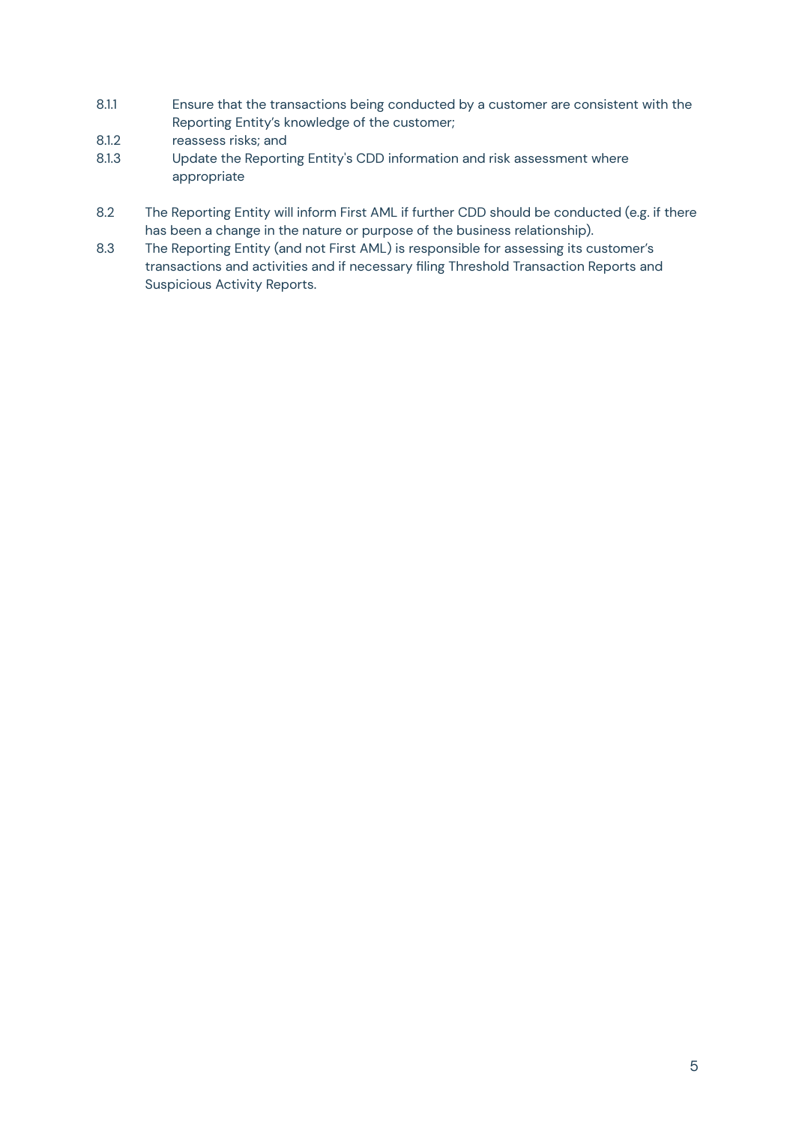- 8.1.1 Ensure that the transactions being conducted by a customer are consistent with the Reporting Entity's knowledge of the customer;
- 8.1.2 reassess risks; and
- 8.1.3 Update the Reporting Entity's CDD information and risk assessment where appropriate
- 8.2 The Reporting Entity will inform First AML if further CDD should be conducted (e.g. if there has been a change in the nature or purpose of the business relationship).
- 8.3 The Reporting Entity (and not First AML) is responsible for assessing its customer's transactions and activities and if necessary filing Threshold Transaction Reports and Suspicious Activity Reports.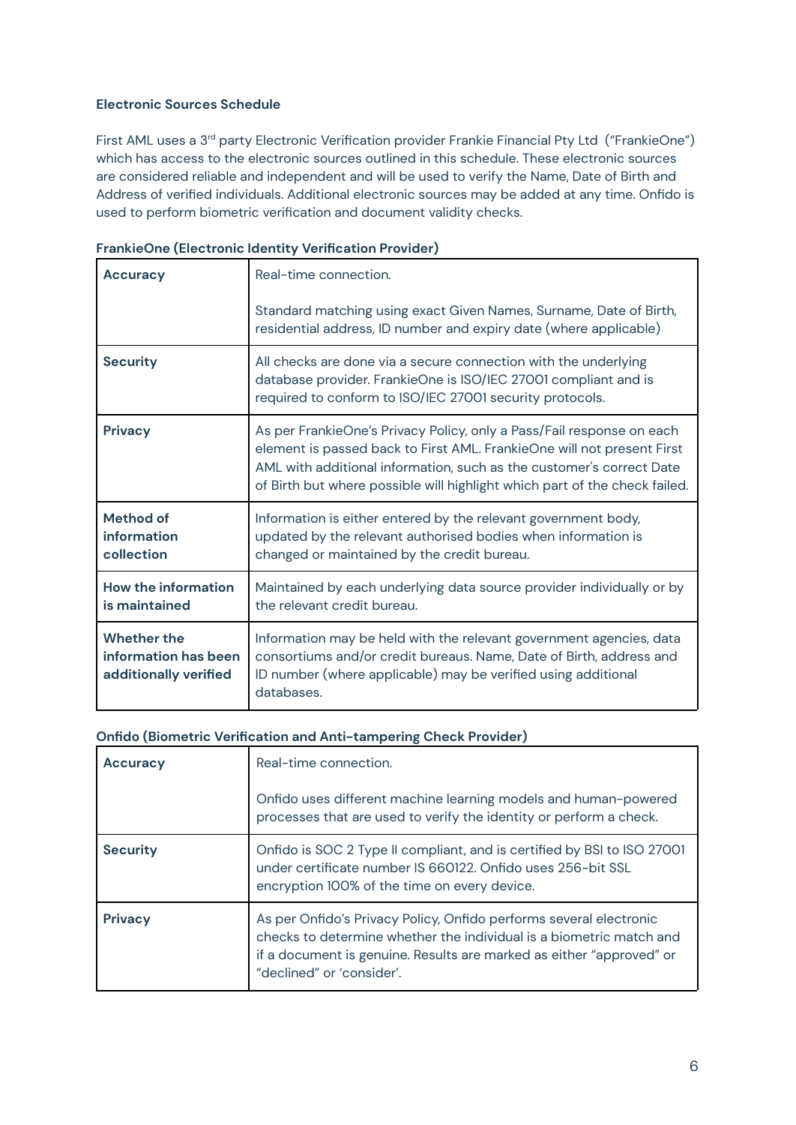# **Electronic Sources Schedule**

First AML uses a 3<sup>rd</sup> party Electronic Verification provider Frankie Financial Pty Ltd("FrankieOne") which has access to the electronic sources outlined in this schedule. These electronic sources are considered reliable and independent and will be used to verify the Name, Date of Birth and Address of verified individuals. Additional electronic sources may be added at any time. Onfido is used to perform biometric verification and document validity checks.

| <b>Accuracy</b>                                                     | Real-time connection.                                                                                                                                                                                                                                                                                 |
|---------------------------------------------------------------------|-------------------------------------------------------------------------------------------------------------------------------------------------------------------------------------------------------------------------------------------------------------------------------------------------------|
|                                                                     | Standard matching using exact Given Names, Surname, Date of Birth,<br>residential address, ID number and expiry date (where applicable)                                                                                                                                                               |
| <b>Security</b>                                                     | All checks are done via a secure connection with the underlying<br>database provider. FrankieOne is ISO/IEC 27001 compliant and is<br>required to conform to ISO/IEC 27001 security protocols.                                                                                                        |
| <b>Privacy</b>                                                      | As per FrankieOne's Privacy Policy, only a Pass/Fail response on each<br>element is passed back to First AML. FrankieOne will not present First<br>AML with additional information, such as the customer's correct Date<br>of Birth but where possible will highlight which part of the check failed. |
| Method of<br>information<br>collection                              | Information is either entered by the relevant government body,<br>updated by the relevant authorised bodies when information is<br>changed or maintained by the credit bureau.                                                                                                                        |
| How the information<br>is maintained                                | Maintained by each underlying data source provider individually or by<br>the relevant credit bureau.                                                                                                                                                                                                  |
| <b>Whether the</b><br>information has been<br>additionally verified | Information may be held with the relevant government agencies, data<br>consortiums and/or credit bureaus. Name, Date of Birth, address and<br>ID number (where applicable) may be verified using additional<br>databases.                                                                             |

# **FrankieOne (Electronic Identity Verification Provider)**

#### **Onfido (Biometric Verification and Anti-tampering Check Provider)**

| <b>Accuracy</b> | Real-time connection.<br>Onfido uses different machine learning models and human-powered<br>processes that are used to verify the identity or perform a check.                                                                                 |
|-----------------|------------------------------------------------------------------------------------------------------------------------------------------------------------------------------------------------------------------------------------------------|
| <b>Security</b> | Onfido is SOC 2 Type II compliant, and is certified by BSI to ISO 27001<br>under certificate number IS 660122. Onfido uses 256-bit SSL<br>encryption 100% of the time on every device.                                                         |
| <b>Privacy</b>  | As per Onfido's Privacy Policy, Onfido performs several electronic<br>checks to determine whether the individual is a biometric match and<br>if a document is genuine. Results are marked as either "approved" or<br>"declined" or 'consider'. |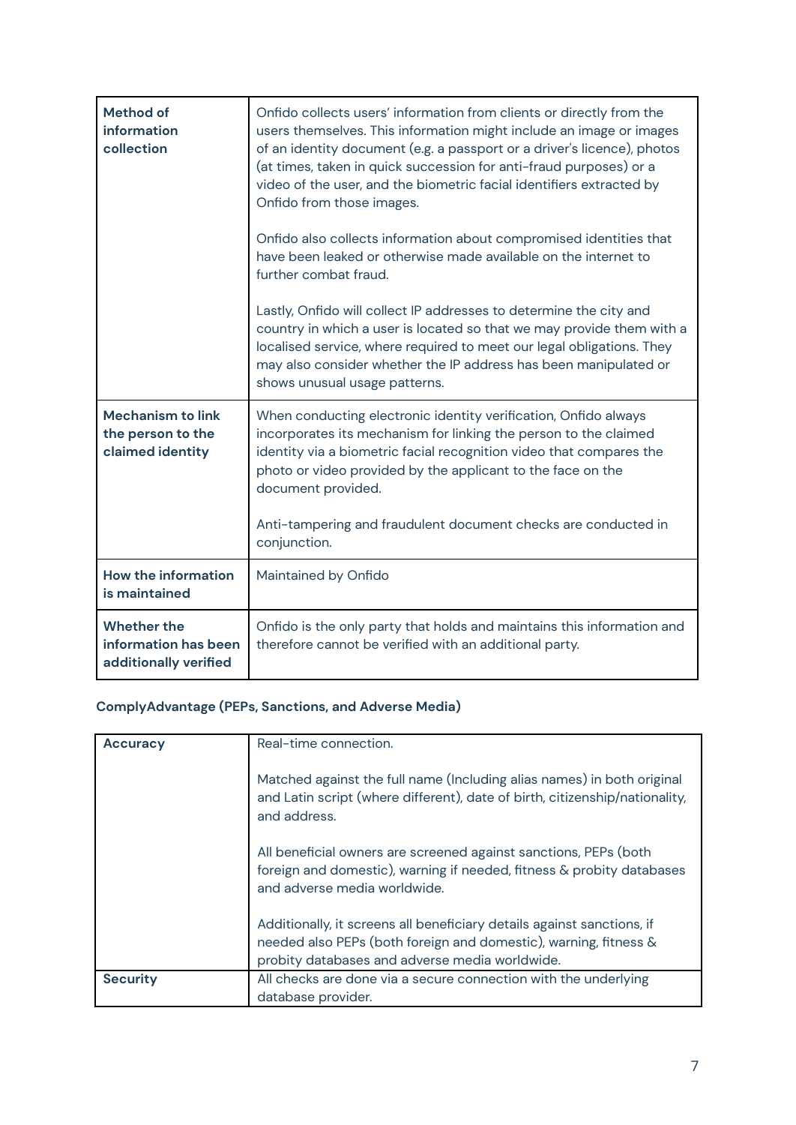| <b>Method of</b><br>information<br>collection                       | Onfido collects users' information from clients or directly from the<br>users themselves. This information might include an image or images<br>of an identity document (e.g. a passport or a driver's licence), photos<br>(at times, taken in quick succession for anti-fraud purposes) or a<br>video of the user, and the biometric facial identifiers extracted by<br>Onfido from those images. |
|---------------------------------------------------------------------|---------------------------------------------------------------------------------------------------------------------------------------------------------------------------------------------------------------------------------------------------------------------------------------------------------------------------------------------------------------------------------------------------|
|                                                                     | Onfido also collects information about compromised identities that<br>have been leaked or otherwise made available on the internet to<br>further combat fraud.                                                                                                                                                                                                                                    |
|                                                                     | Lastly, Onfido will collect IP addresses to determine the city and<br>country in which a user is located so that we may provide them with a<br>localised service, where required to meet our legal obligations. They<br>may also consider whether the IP address has been manipulated or<br>shows unusual usage patterns.                                                                         |
| <b>Mechanism to link</b><br>the person to the<br>claimed identity   | When conducting electronic identity verification, Onfido always<br>incorporates its mechanism for linking the person to the claimed<br>identity via a biometric facial recognition video that compares the<br>photo or video provided by the applicant to the face on the<br>document provided.<br>Anti-tampering and fraudulent document checks are conducted in<br>conjunction.                 |
| <b>How the information</b>                                          | Maintained by Onfido                                                                                                                                                                                                                                                                                                                                                                              |
| is maintained                                                       |                                                                                                                                                                                                                                                                                                                                                                                                   |
| <b>Whether the</b><br>information has been<br>additionally verified | Onfido is the only party that holds and maintains this information and<br>therefore cannot be verified with an additional party.                                                                                                                                                                                                                                                                  |

# **ComplyAdvantage (PEPs, Sanctions, and Adverse Media)**

| <b>Accuracy</b> | Real-time connection.                                                                                                                                                                        |
|-----------------|----------------------------------------------------------------------------------------------------------------------------------------------------------------------------------------------|
|                 | Matched against the full name (Including alias names) in both original<br>and Latin script (where different), date of birth, citizenship/nationality,<br>and address.                        |
|                 | All beneficial owners are screened against sanctions, PEPs (both<br>foreign and domestic), warning if needed, fitness & probity databases<br>and adverse media worldwide.                    |
|                 | Additionally, it screens all beneficiary details against sanctions, if<br>needed also PEPs (both foreign and domestic), warning, fitness &<br>probity databases and adverse media worldwide. |
| <b>Security</b> | All checks are done via a secure connection with the underlying<br>database provider.                                                                                                        |